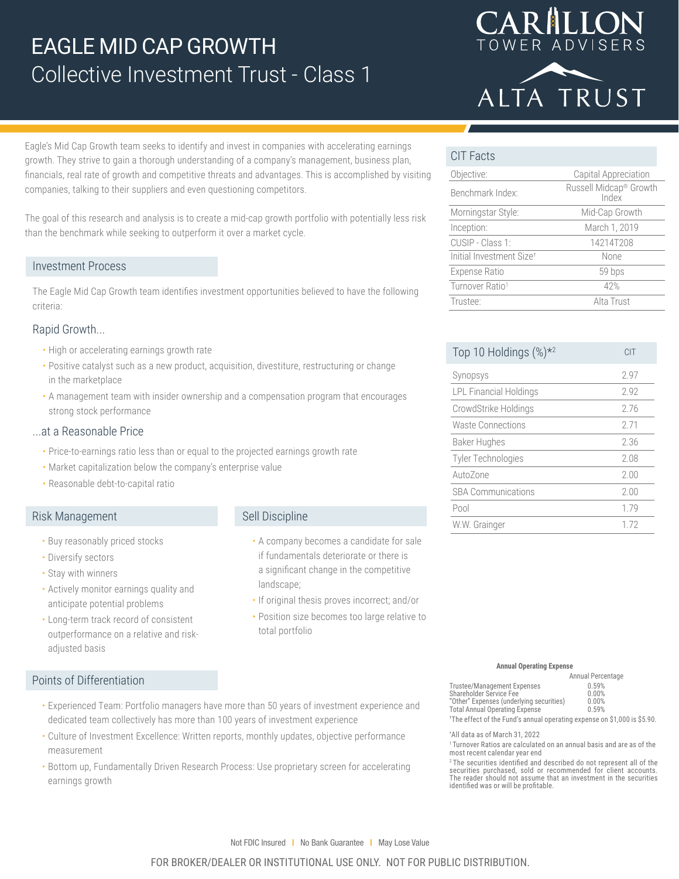



Eagle's Mid Cap Growth team seeks to identify and invest in companies with accelerating earnings growth. They strive to gain a thorough understanding of a company's management, business plan, financials, real rate of growth and competitive threats and advantages. This is accomplished by visiting companies, talking to their suppliers and even questioning competitors.

The goal of this research and analysis is to create a mid-cap growth portfolio with potentially less risk than the benchmark while seeking to outperform it over a market cycle.

### Investment Process

The Eagle Mid Cap Growth team identifies investment opportunities believed to have the following criteria:

### Rapid Growth...

- High or accelerating earnings growth rate
- Positive catalyst such as a new product, acquisition, divestiture, restructuring or change in the marketplace
- A management team with insider ownership and a compensation program that encourages strong stock performance

### ...at a Reasonable Price

- Price-to-earnings ratio less than or equal to the projected earnings growth rate
- Market capitalization below the company's enterprise value
- Reasonable debt-to-capital ratio

## Risk Management

- Buy reasonably priced stocks
- Diversify sectors
- Stay with winners
- Actively monitor earnings quality and anticipate potential problems
- Long-term track record of consistent outperformance on a relative and riskadjusted basis

## Sell Discipline

- A company becomes a candidate for sale if fundamentals deteriorate or there is a significant change in the competitive landscape;
- If original thesis proves incorrect; and/or
- Position size becomes too large relative to total portfolio

## CIT Facts

| Objective:                           | Capital Appreciation                        |
|--------------------------------------|---------------------------------------------|
| Benchmark Index:                     | Russell Midcap <sup>®</sup> Growth<br>Index |
| Morningstar Style:                   | Mid-Cap Growth                              |
| Inception:                           | March 1, 2019                               |
| CUSIP - Class 1:                     | 14214T208                                   |
| Initial Investment Size <sup>+</sup> | None                                        |
| <b>Expense Ratio</b>                 | 59 bps                                      |
| Turnover Ratio <sup>1</sup>          | 42%                                         |
| Trustee:                             | Alta Trust                                  |

| Top 10 Holdings (%) <sup>*2</sup> | CIT  |
|-----------------------------------|------|
| Synopsys                          | 297  |
| <b>LPL Financial Holdings</b>     | 2.92 |
| CrowdStrike Holdings              | 276  |
| Waste Connections                 | 271  |
| Baker Hughes                      | 2.36 |
| <b>Tyler Technologies</b>         | 2.08 |
| AutoZone                          | 2.00 |
| <b>SBA Communications</b>         | 2.00 |
| Pool                              | 1.79 |
| W.W. Grainger                     | 172  |

#### **Annual Operating Expense**

|                                                                                      | Annual Percentage |
|--------------------------------------------------------------------------------------|-------------------|
| <b>Trustee/Management Expenses</b>                                                   | 0.59%             |
| Shareholder Service Fee                                                              | 0.00%             |
| "Other" Expenses (underlying securities)                                             | 0.00%             |
| <b>Total Annual Operating Expense</b>                                                | 0.59%             |
| <sup>†</sup> The effect of the Fund's annual operating expense on \$1,000 is \$5.90. |                   |

\* All data as of March 31, 2022

<sup>1</sup> Turnover Ratios are calculated on an annual basis and are as of the most recent calendar year end

<sup>2</sup>The securities identified and described do not represent all of the<br>securities purchased, sold or recommended for client accounts.<br>The reader should not assume that an investment in the securities<br>identified was or will

# Points of Differentiation

- Experienced Team: Portfolio managers have more than 50 years of investment experience and dedicated team collectively has more than 100 years of investment experience
- Culture of Investment Excellence: Written reports, monthly updates, objective performance measurement
- Bottom up, Fundamentally Driven Research Process: Use proprietary screen for accelerating earnings growth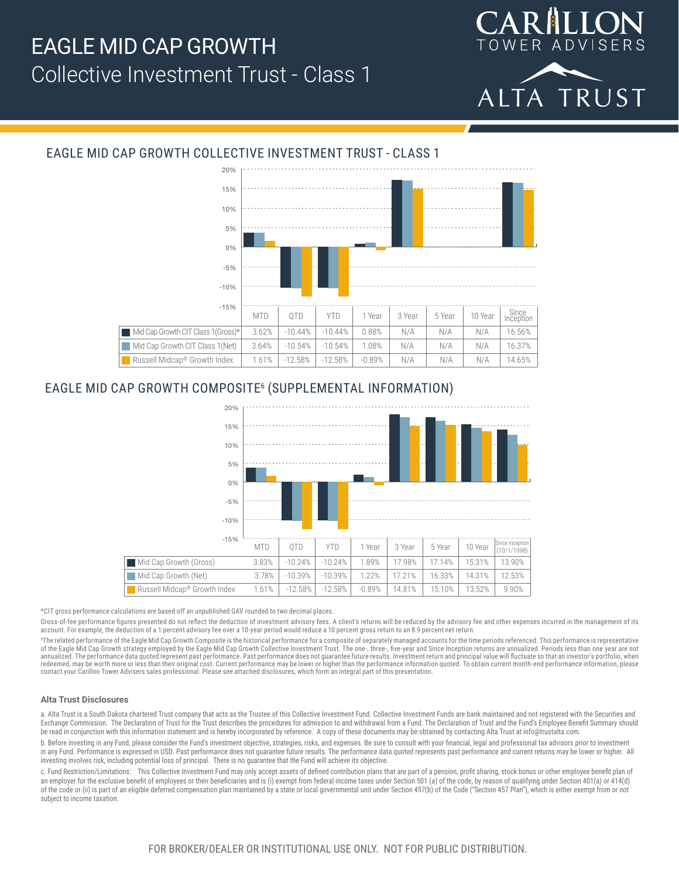



# EAGLE MID CAP GROWTH COLLECTIVE INVESTMENT TRUST - CLASS 1



## EAGLE MID CAP GROWTH COMPOSITE6 (SUPPLEMENTAL INFORMATION)



\*CIT gross performance calculations are based off an unpublished GAV rounded to two decimal places.

Gross-of-fee performance figures presented do not reflect the deduction of investment advisory fees. A client's returns will be reduced by the advisory fee and other expenses incurred in the management of its account. For example, the deduction of a 1 percent advisory fee over a 10-year period would reduce a 10 percent gross return to an 8.9 percent net return.

"The related performance of the Eagle Mid Cap Growth Composite is the historical performance for a composite of separately managed accounts for the time periods referenced. This performance is representative<br>of the Eagle M annualized. The performance data quoted represent past performance. Past performance does not guarantee future results. Investment return and principal value will fluctuate so that an investor's portfolio, when redeemed, may be worth more or less than their original cost. Current performance may be lower or higher than the performance information quoted. To obtain current month-end performance information, please<br>contact your Car

#### **Alta Trust Disclosures**

a. Alta Trust is a South Dakota chartered Trust company that acts as the Trustee of this Collective Investment Fund. Collective Investment Funds are bank maintained and not registered with the Securities and Exchange Commission. The Declaration of Trust for the Trust describes the procedures for admission to and withdrawal from a Fund. The Declaration of Trust and the Fund's Employee Benefit Summary should be read in conjunction with this information statement and is hereby incorporated by reference. A copy of these documents may be obtained by contacting Alta Trust at info@trustalta.com.

b. Before investing in any Fund, please consider the Fund's investment objective, strategies, risks, and expenses. Be sure to consult with your financial, legal and professional tax advisors prior to investment in any Fund. Performance is expressed in USD. Past performance does not guarantee future results. The performance data quoted represents past performance and current returns may be lower or higher. All investing involves risk, including potential loss of principal. There is no guarantee that the Fund will achieve its objective.

c. Fund Restriction/Limitations: This Collective Investment Fund may only accept assets of defined contribution plans that are part of a pension, profit sharing, stock bonus or other employee benefit plan of an employer for the exclusive benefit of employees or their beneficiaries and is (i) exempt from federal income taxes under Section 501 (a) of the code, by reason of qualifying under Section 401(a) or 414(d) of the code or (ii) is part of an eligible deferred compensation plan maintained by a state or local governmental unit under Section 457(b) of the Code ("Section 457 Plan"), which is either exempt from or not subject to income taxation.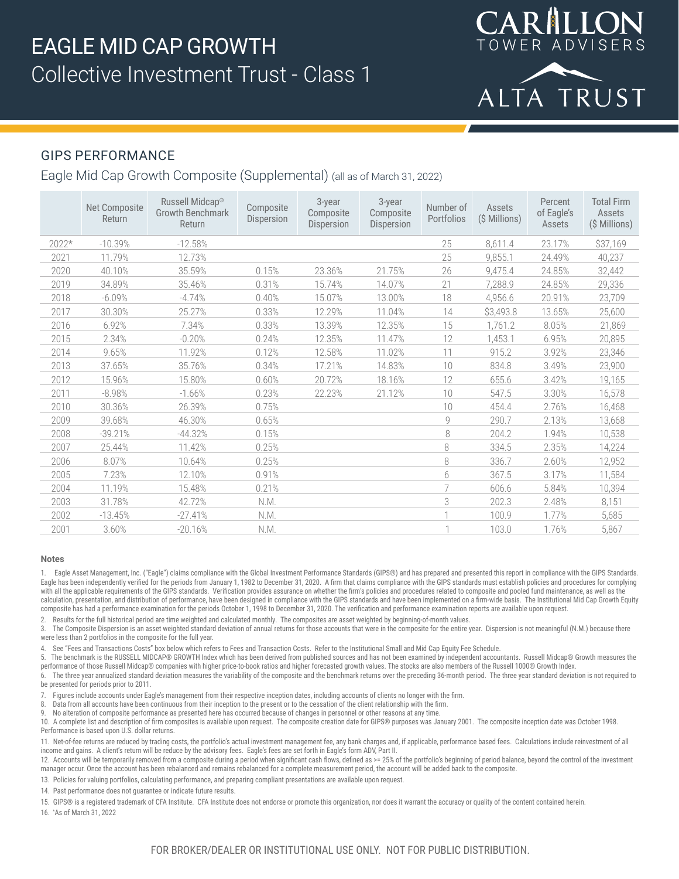

# GIPS PERFORMANCE

Eagle Mid Cap Growth Composite (Supplemental) (all as of March 31, 2022)

|         | Net Composite<br>Return | Russell Midcap <sup>®</sup><br><b>Growth Benchmark</b><br>Return | Composite<br>Dispersion | 3-year<br>Composite<br>Dispersion | 3-year<br>Composite<br><b>Dispersion</b> | Number of<br>Portfolios | Assets<br>(\$ Millions) | Percent<br>of Eagle's<br>Assets | <b>Total Firm</b><br>Assets<br>(\$ Millions) |
|---------|-------------------------|------------------------------------------------------------------|-------------------------|-----------------------------------|------------------------------------------|-------------------------|-------------------------|---------------------------------|----------------------------------------------|
| $2022*$ | $-10.39%$               | $-12.58%$                                                        |                         |                                   |                                          | 25                      | 8,611.4                 | 23.17%                          | \$37,169                                     |
| 2021    | 11.79%                  | 12.73%                                                           |                         |                                   |                                          | 25                      | 9,855.1                 | 24.49%                          | 40,237                                       |
| 2020    | 40.10%                  | 35.59%                                                           | 0.15%                   | 23.36%                            | 21.75%                                   | 26                      | 9,475.4                 | 24.85%                          | 32,442                                       |
| 2019    | 34.89%                  | 35.46%                                                           | 0.31%                   | 15.74%                            | 14.07%                                   | 21                      | 7,288.9                 | 24.85%                          | 29,336                                       |
| 2018    | $-6.09%$                | $-4.74%$                                                         | 0.40%                   | 15.07%                            | 13.00%                                   | 18                      | 4,956.6                 | 20.91%                          | 23,709                                       |
| 2017    | 30.30%                  | 25.27%                                                           | 0.33%                   | 12.29%                            | 11.04%                                   | 14                      | \$3,493.8               | 13.65%                          | 25,600                                       |
| 2016    | 6.92%                   | 7.34%                                                            | 0.33%                   | 13.39%                            | 12.35%                                   | 15                      | 1,761.2                 | 8.05%                           | 21,869                                       |
| 2015    | 2.34%                   | $-0.20%$                                                         | 0.24%                   | 12.35%                            | 11.47%                                   | 12                      | 1,453.1                 | 6.95%                           | 20,895                                       |
| 2014    | 9.65%                   | 11.92%                                                           | 0.12%                   | 12.58%                            | 11.02%                                   | 11                      | 915.2                   | 3.92%                           | 23,346                                       |
| 2013    | 37.65%                  | 35.76%                                                           | 0.34%                   | 17.21%                            | 14.83%                                   | 10                      | 834.8                   | 3.49%                           | 23,900                                       |
| 2012    | 15.96%                  | 15.80%                                                           | 0.60%                   | 20.72%                            | 18.16%                                   | 12                      | 655.6                   | 3.42%                           | 19,165                                       |
| 2011    | $-8.98%$                | $-1.66%$                                                         | 0.23%                   | 22.23%                            | 21.12%                                   | 10                      | 547.5                   | 3.30%                           | 16,578                                       |
| 2010    | 30.36%                  | 26.39%                                                           | 0.75%                   |                                   |                                          | 10                      | 454.4                   | 2.76%                           | 16,468                                       |
| 2009    | 39.68%                  | 46.30%                                                           | 0.65%                   |                                   |                                          | 9                       | 290.7                   | 2.13%                           | 13,668                                       |
| 2008    | $-39.21%$               | $-44.32%$                                                        | 0.15%                   |                                   |                                          | 8                       | 204.2                   | 1.94%                           | 10,538                                       |
| 2007    | 25.44%                  | 11.42%                                                           | 0.25%                   |                                   |                                          | 8                       | 334.5                   | 2.35%                           | 14,224                                       |
| 2006    | 8.07%                   | 10.64%                                                           | 0.25%                   |                                   |                                          | 8                       | 336.7                   | 2.60%                           | 12,952                                       |
| 2005    | 7.23%                   | 12.10%                                                           | 0.91%                   |                                   |                                          | 6                       | 367.5                   | 3.17%                           | 11,584                                       |
| 2004    | 11.19%                  | 15.48%                                                           | 0.21%                   |                                   |                                          |                         | 606.6                   | 5.84%                           | 10,394                                       |
| 2003    | 31.78%                  | 42.72%                                                           | N.M.                    |                                   |                                          | 3                       | 202.3                   | 2.48%                           | 8,151                                        |
| 2002    | $-13.45%$               | $-27.41%$                                                        | N.M.                    |                                   |                                          |                         | 100.9                   | 1.77%                           | 5,685                                        |
| 2001    | 3.60%                   | $-20.16%$                                                        | N.M.                    |                                   |                                          |                         | 103.0                   | 1.76%                           | 5,867                                        |

#### **Notes**

1. Eagle Asset Management, Inc. ("Eagle") claims compliance with the Global Investment Performance Standards (GIPS®) and has prepared and presented this report in compliance with the GIPS Standards. Eagle has been independently verified for the periods from January 1, 1982 to December 31, 2020. A firm that claims compliance with the GIPS standards must establish policies and procedures for complying with all the applicable requirements of the GIPS standards. Verification provides assurance on whether the firm's policies and procedures related to composite and pooled fund maintenance, as well as the calculation, presentation, and distribution of performance, have been designed in compliance with the GIPS standards and have been implemented on a firm-wide basis. The Institutional Mid Cap Growth Equity composite has had a performance examination for the periods October 1, 1998 to December 31, 2020. The verification and performance examination reports are available upon request.

2. Results for the full historical period are time weighted and calculated monthly. The composites are asset weighted by beginning-of-month values.

3. The Composite Dispersion is an asset weighted standard deviation of annual returns for those accounts that were in the composite for the entire year. Dispersion is not meaningful (N.M.) because there were less than 2 portfolios in the composite for the full year.

See "Fees and Transactions Costs" box below which refers to Fees and Transaction Costs. Refer to the Institutional Small and Mid Cap Equity Fee Schedule.

5. The benchmark is the RUSSELL MIDCAP® GROWTH Index which has been derived from published sources and has not been examined by independent accountants. Russell Midcap® Growth measures the performance of those Russell Midcap® companies with higher price-to-book ratios and higher forecasted growth values. The stocks are also members of the Russell 1000® Growth Index.

6. The three year annualized standard deviation measures the variability of the composite and the benchmark returns over the preceding 36-month period. The three year standard deviation is not required to be presented for periods prior to 2011.

7. Figures include accounts under Eagle's management from their respective inception dates, including accounts of clients no longer with the firm.

8. Data from all accounts have been continuous from their inception to the present or to the cessation of the client relationship with the firm.

9. No alteration of composite performance as presented here has occurred because of changes in personnel or other reasons at any time.

10. A complete list and description of firm composites is available upon request. The composite creation date for GIPS® purposes was January 2001. The composite inception date was October 1998. Performance is based upon U.S. dollar returns.

11. Net-of-fee returns are reduced by trading costs, the portfolio's actual investment management fee, any bank charges and, if applicable, performance based fees. Calculations include reinvestment of all income and gains. A client's return will be reduce by the advisory fees. Eagle's fees are set forth in Eagle's form ADV, Part II.

12. Accounts will be temporarily removed from a composite during a period when significant cash flows, defined as >= 25% of the portfolio's beginning of period balance, beyond the control of the investment manager occur. Once the account has been rebalanced and remains rebalanced for a complete measurement period, the account will be added back to the composite.

13. Policies for valuing portfolios, calculating performance, and preparing compliant presentations are available upon request.

14. Past performance does not guarantee or indicate future results.

15. GIPS® is a registered trademark of CFA Institute. CFA Institute does not endorse or promote this organization, nor does it warrant the accuracy or quality of the content contained herein.

16. \* As of March 31, 2022